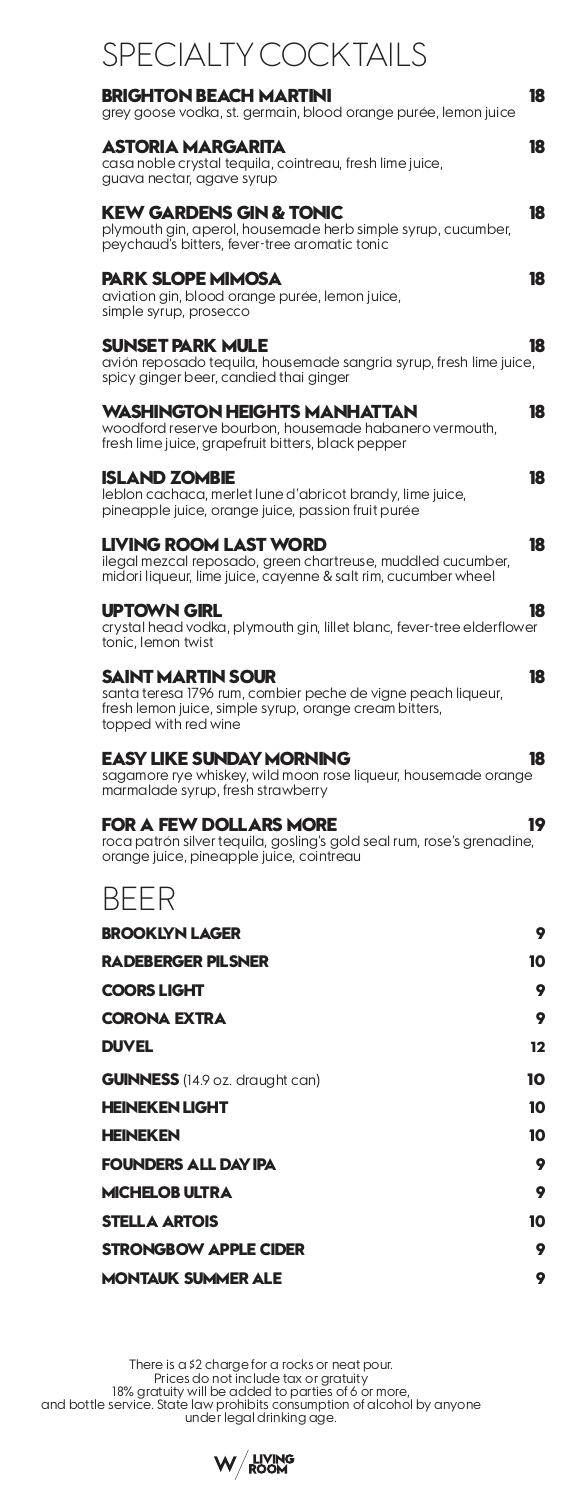| <b>SPECIALTY COCKTAILS</b>                                                                                                                                                |   |
|---------------------------------------------------------------------------------------------------------------------------------------------------------------------------|---|
| 18<br>BRIGHTON BEACH MARTINI<br>grey goose vodka, st. germain, blood orange purée, lemon juice                                                                            |   |
| ASTORIA MARGARITA<br>18<br>casa noble crystal tequila, cointreau, fresh lime juice,<br>guava nectar, agave syrup                                                          |   |
| KEW GARDENS GIN & TONIC<br>18<br>plymouth gin, aperol, housemade herb simple syrup, cucumber,<br>peychaud's bitters, fever-tree aromatic tonic                            |   |
| <b>PARK SLOPE MIMOSA</b><br>18<br>aviation gin, blood orange purée, lemon juice,<br>simple syrup, prosecco                                                                |   |
| <b>SUNSET PARK MULE</b><br>18<br>avión reposado tequila, housemade sangria syrup, fresh lime juice,<br>spicy ginger beer, candied thai ginger                             |   |
| WASHINGTON HEIGHTS MANHATTAN<br>18<br>woodford reserve bourbon, housemade habanero vermouth,<br>fresh lime juice, grapefruit bitters, black pepper                        |   |
| <b>ISLAND ZOMBIE</b><br>18<br>leblon cachaca, merlet lune d'abricot brandy, lime juice,<br>pineapple juice, orange juice, passion fruit purée                             |   |
| <b>LIVING ROOM LAST WORD</b><br>18<br>ilegal mezcal reposado, green chartreuse, muddled cucumber,<br>midori liqueur, lime juice, cayenne & salt rim, cucumber wheel       |   |
| UPTOWN GIRL<br>18<br>crystal head vodka, plymouth gin, lillet blanc, fever-tree elderflower<br>tonic, lemon twist                                                         |   |
| SAINT MARTIN SOUR<br>18<br>santa teresa 1796 rum, combier peche de vigne peach liqueur,<br>fresh lemon juice, simple syrup, orange cream bitters,<br>topped with red wine |   |
| <b>EASY LIKE SUNDAY MORNING</b><br>18<br>sagamore rye whiskey, wild moon rose liqueur, housemade orange<br>marmalade syrup, fresh strawberry                              |   |
| <b>FOR A FEW DOLLARS MORE</b><br>19<br>roca patrón silver tequila, gosling's gold seal rum, rose's grenadine,<br>orange juice, pineapple juice, cointreau                 |   |
| <b>BFFR</b>                                                                                                                                                               |   |
| <b>BROOKLYN LAGER</b>                                                                                                                                                     | 9 |
| <b>RADEBERGER PILSNER</b><br>10                                                                                                                                           |   |
| <b>COORS LIGHT</b>                                                                                                                                                        | 9 |
| <b>CORONA EXTRA</b>                                                                                                                                                       | 9 |
| <b>DUVEL</b><br>$12 \,$                                                                                                                                                   |   |
| 10<br><b>GUINNESS</b> (14.9 oz. draught can)                                                                                                                              |   |
| <b>HEINEKEN LIGHT</b><br>10                                                                                                                                               |   |
| <b>HEINEKEN</b><br>10                                                                                                                                                     |   |
| <b>FOUNDERS ALL DAY IPA</b>                                                                                                                                               | 9 |
| <b>MICHELOB ULTRA</b>                                                                                                                                                     | 9 |
| <b>STELLA ARTOIS</b><br>10                                                                                                                                                |   |
| <b>STRONGBOW APPLE CIDER</b>                                                                                                                                              | 9 |
| <b>MONTAUK SUMMER ALE</b>                                                                                                                                                 | 9 |

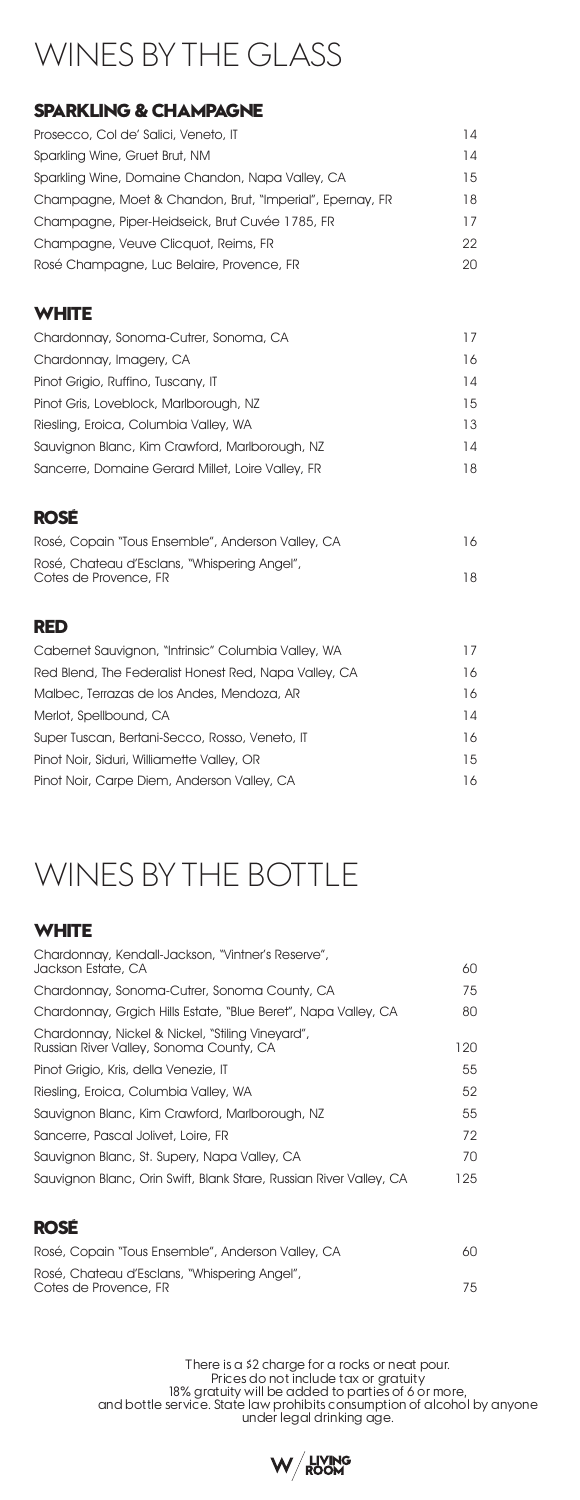# WINES BY THE GLASS

### **SPARKLING & CHAMPAGNE**

| Prosecco, Col de' Salici, Veneto, IT                     | 14 |
|----------------------------------------------------------|----|
| Sparkling Wine, Gruet Brut, NM                           | 14 |
| Sparkling Wine, Domaine Chandon, Napa Valley, CA         | 15 |
| Champagne, Moet & Chandon, Brut, "Imperial", Epernay, FR | 18 |
| Champagne, Piper-Heidseick, Brut Cuvée 1785, FR          | 17 |
| Champagne, Veuve Clicquot, Reims, FR                     | 22 |
| Rosé Champagne, Luc Belaire, Provence, FR                | 20 |

#### **WHITE**

| Chardonnay, Sonoma-Cutrer, Sonoma, CA             | 17 |
|---------------------------------------------------|----|
| Chardonnay, Imagery, CA                           | 16 |
| Pinot Grigio, Ruffino, Tuscany, IT                | 14 |
| Pinot Gris, Loveblock, Marlborough, NZ            | 15 |
| Riesling, Eroica, Columbia Valley, WA             | 13 |
| Sauvignon Blanc, Kim Crawford, Marlborough, NZ    | 14 |
| Sancerre, Domaine Gerard Millet, Loire Valley, FR | 18 |

#### **ROSÉ**

| Rosé, Copain "Tous Ensemble", Anderson Valley, CA                     | 16 |
|-----------------------------------------------------------------------|----|
| Rosé, Chateau d'Esclans, "Whispering Angel",<br>Cotes de Provence, FR | 18 |

### **RED**

| Cabernet Sauvignon, "Intrinsic" Columbia Valley, WA   | 17 |
|-------------------------------------------------------|----|
| Red Blend, The Federalist Honest Red, Napa Valley, CA | 16 |
| Malbec, Terrazas de los Andes, Mendoza, AR            | 16 |
| Merlot, Spellbound, CA                                | 14 |
| Super Tuscan, Bertani-Secco, Rosso, Veneto, IT        | 16 |
| Pinot Noir, Siduri, Williamette Valley, OR            | 15 |
| Pinot Noir, Carpe Diem, Anderson Valley, CA           | 16 |

# WINES BY THE BOTTLE

# **WHITE**

| Chardonnay, Kendall-Jackson, "Vintner's Reserve",                                           |     |
|---------------------------------------------------------------------------------------------|-----|
| Jackson Estate, CA                                                                          | 60  |
| Chardonnay, Sonoma-Cutrer, Sonoma County, CA                                                | 75  |
| Chardonnay, Grgich Hills Estate, "Blue Beret", Napa Valley, CA                              | 80  |
| Chardonnay, Nickel & Nickel, "Stiling Vineyard",<br>Russian River Valley, Sonoma County, CA | 120 |
| Pinot Grigio, Kris, della Venezie, IT                                                       | 55  |
| Rieslina, Eroica, Columbia Valley, WA                                                       | 52  |
| Sauvignon Blanc, Kim Crawford, Marlborough, NZ                                              | 55  |
| Sancerre, Pascal Jolivet, Loire, FR                                                         | 72  |
| Sauvignon Blanc, St. Supery, Napa Valley, CA                                                | 70  |
| Sauvignon Blanc, Orin Swift, Blank Stare, Russian River Valley, CA                          | 125 |
|                                                                                             |     |

#### **ROSÉ**

| Rosé, Copain "Tous Ensemble", Anderson Valley, CA                     | 60 |
|-----------------------------------------------------------------------|----|
| Rosé, Chateau d'Esclans, "Whispering Angel",<br>Cotes de Provence, FR | 75 |

There is a \$2 charge for a rocks or neat pour.<br>Prices do not include tax or gratuity<br>18% gratuity will be added to parties of 6 or more,<br>and bottle service. State law prohibits consumption of alcohol by anyone<br>under leaal

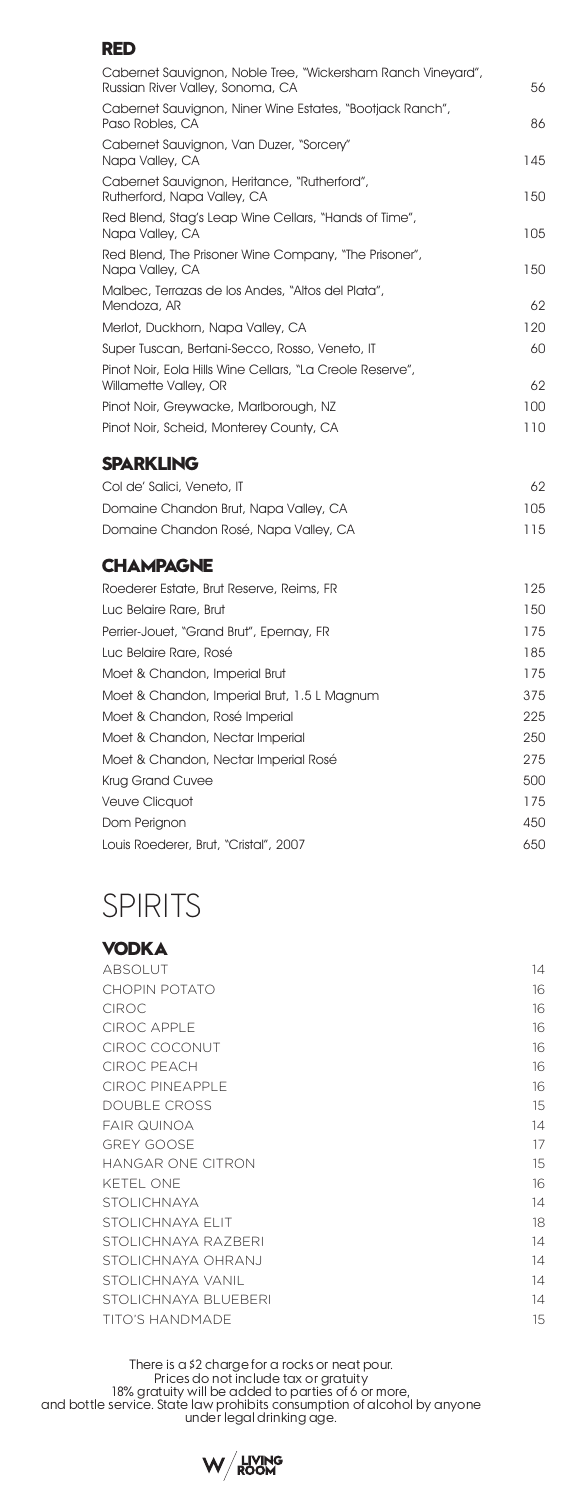#### **RED**

| Cabernet Sauvignon, Noble Tree, "Wickersham Ranch Vineyard",<br>Russian River Valley, Sonoma, CA | 56  |
|--------------------------------------------------------------------------------------------------|-----|
| Cabernet Sauvignon, Niner Wine Estates, "Bootjack Ranch",<br>Paso Robles, CA                     | 86  |
| Cabernet Sauvignon, Van Duzer, "Sorcery"<br>Napa Valley, CA                                      | 145 |
| Cabernet Sauvignon, Heritance, "Rutherford",<br>Rutherford, Napa Valley, CA                      | 150 |
| Red Blend, Stag's Leap Wine Cellars, "Hands of Time",<br>Napa Valley, CA                         | 105 |
| Red Blend, The Prisoner Wine Company, "The Prisoner",<br>Napa Valley, CA                         | 150 |
| Malbec, Terrazas de los Andes, "Altos del Plata",<br>Mendoza, AR                                 | 62  |
| Merlot, Duckhorn, Napa Valley, CA                                                                | 120 |
| Super Tuscan, Bertani-Secco, Rosso, Veneto, IT                                                   | 60  |
| Pinot Noir, Eola Hills Wine Cellars, "La Creole Reserve",<br>Willamette Valley, OR               | 62  |
| Pinot Noir, Greywacke, Marlborough, NZ                                                           | 100 |
| Pinot Noir, Scheid, Monterey County, CA                                                          | 110 |
| <b>SPARKLING</b>                                                                                 |     |
| Col de' Salici, Veneto, IT                                                                       | 62  |
| Domaine Chandon Brut, Napa Valley, CA                                                            | 105 |
| Domaine Chandon Rosé, Napa Valley, CA                                                            | 115 |
| <b>CHAMPAGNE</b>                                                                                 |     |
|                                                                                                  |     |

| Roederer Estate, Brut Reserve, Reims, FR    | 125 |
|---------------------------------------------|-----|
| Luc Belaire Rare, Brut                      | 150 |
| Perrier-Jouet, "Grand Brut", Epernay, FR    | 175 |
| Luc Belaire Rare, Rosé                      | 185 |
| Moet & Chandon, Imperial Brut               | 175 |
| Moet & Chandon, Imperial Brut, 1.5 L Magnum | 375 |
| Moet & Chandon, Rosé Imperial               | 225 |
| Moet & Chandon, Nectar Imperial             | 250 |
| Moet & Chandon, Nectar Imperial Rosé        | 275 |
| <b>Krug Grand Cuvee</b>                     | 500 |
| Veuve Clicquot                              | 175 |
| Dom Perignon                                | 450 |
| Louis Roederer, Brut, "Cristal", 2007       | 650 |
|                                             |     |

# SPIRITS

#### **VODKA** ABSOLUT 14 CHOPIN POTATO 16 CIROC **16** and 16 and 16 and 16 and 16 and 16 and 16 and 16 and 16 and 16 and 16 and 16 and 16 and 16 and 16 CIROC APPLE 16 CIROC COCONUT 
16 CIROC PEACH 16 CIROC PINEAPPLE 16 DOUBLE CROSS 15 FAIR QUINOA 14 GREY GOOSE 27 AM AND THE SERVICE OF THE SERVICE OF THE SERVICE OF THE SERVICE OF THE SERVICE OF THE SERVICE OF THE SERVICE OF THE SERVICE OF THE SERVICE OF THE SERVICE OF THE SERVICE OF THE SERVICE OF THE SERVICE OF THE SE HANGAR ONE CITRON 15 KETEL ONE 16 STOLICHNAYA 14 STOLICHNAYA ELIT 18 STOLICHNAYA RAZBERI 14 STOLICHNAYA OHRANJ 14 STOLICHNAYA VANIL 14 STOLICHNAYA BLUEBERI 14 TITO'S HANDMADE 15

There is a \$2 charge for a rocks or neat pour. Prices do not i̇̃nclude tax or gratuity<br>18% gratuity will be added to parties of 6 or more,<br>19% and bottle service. State law prohibits consumption of alcohol by anyone under legal drinking age.

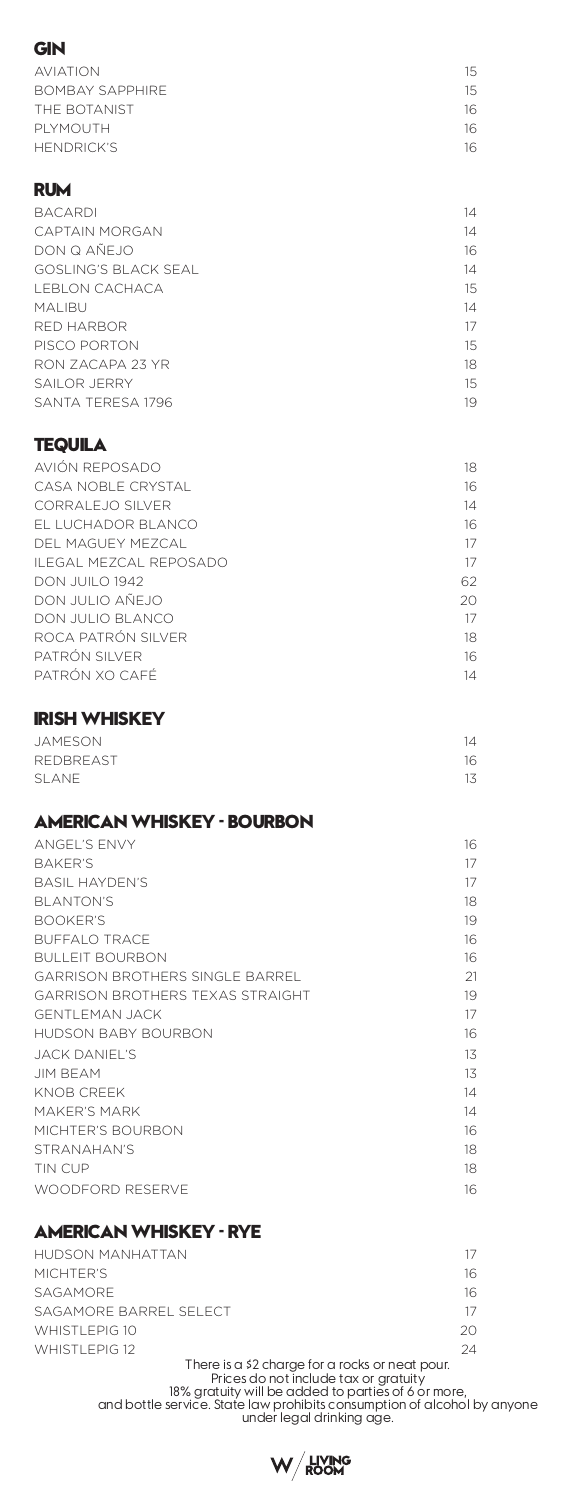| GIN                                            |          |
|------------------------------------------------|----------|
| <b>AVIATION</b>                                | 15       |
| <b>BOMBAY SAPPHIRE</b>                         | 15       |
| THE BOTANIST                                   | 16       |
| PLYMOUTH<br><b>HENDRICK'S</b>                  | 16       |
|                                                | 16       |
| RUM                                            |          |
| <b>BACARDI</b>                                 | 14       |
| <b>CAPTAIN MORGAN</b>                          | 14       |
| DON Q AÑEJO                                    | 16       |
| <b>GOSLING'S BLACK SEAL</b>                    | 14       |
| LEBLON CACHACA                                 | 15       |
| <b>MALIBU</b><br>RED HARBOR                    | 14<br>17 |
| PISCO PORTON                                   | 15       |
| RON ZACAPA 23 YR                               | 18       |
| SAILOR JERRY                                   | 15       |
| SANTA TERESA 1796                              | 19       |
| TEQUILA                                        |          |
| AVIÓN REPOSADO                                 | 18       |
| CASA NOBLE CRYSTAL                             | 16       |
| CORRALEJO SILVER                               | 14       |
| EL LUCHADOR BLANCO                             | 16       |
| DEL MAGUEY MEZCAL                              | 17       |
| ILEGAL MEZCAL REPOSADO                         | 17       |
| DON JUILO 1942                                 | 62       |
| DON JULIO AÑEJO                                | 20       |
| DON JULIO BLANCO<br>ROCA PATRÓN SILVER         | 17<br>18 |
| PATRÓN SILVER                                  | 16       |
| PATRÓN XO CAFÉ                                 | 14       |
| <b>IRISH WHISKEY</b>                           |          |
| <b>JAMESON</b>                                 | 14       |
| REDBREAST                                      | 16       |
| <b>SLANE</b>                                   | 13       |
| <b>AMERICAN WHISKEY - BOURBON</b>              |          |
| <b>ANGEL'S ENVY</b>                            | 16       |
| <b>BAKER'S</b>                                 | 17       |
| <b>BASIL HAYDEN'S</b>                          | 17       |
| BLANTON'S                                      | 18       |
| <b>BOOKER'S</b>                                | 19       |
| <b>BUFFALO TRACE</b><br><b>BULLEIT BOURBON</b> | 16<br>16 |
| <b>GARRISON BROTHERS SINGLE BARREL</b>         | 21       |
| <b>GARRISON BROTHERS TEXAS STRAIGHT</b>        | 19       |
| <b>GENTLEMAN JACK</b>                          | 17       |
| <b>HUDSON BABY BOURBON</b>                     | 16       |
| JACK DANIEL'S                                  | 13       |
| JIM BEAM                                       | 13       |
| KNOB CREEK                                     | 14       |
| MAKER'S MARK                                   | 14       |
| MICHTER'S BOURBON<br>STRANAHAN'S               | 16<br>18 |
| TIN CUP                                        | 18       |
| WOODFORD RESERVE                               | 16       |
|                                                |          |

# **AMERICAN WHISKEY - RYE**

| HUDSON MANHATTAN        | 17 |
|-------------------------|----|
| MICHTER'S               | 16 |
| SAGAMORE                | 16 |
| SAGAMORF BARRFI SFI FCT | 17 |
| <b>WHISTLEPIG 10</b>    | 20 |
| WHISTLEPIG 12           | 24 |

<sup>24</sup><br>
There is a \$2 charge for a rocks or neat pour.<br>
Prices do not include tax or gratuity<br>
18% gratuity will be added to partite is a for more,<br>
and bottle service. State law prohibits consumption of alcohol by anyone<br>
u

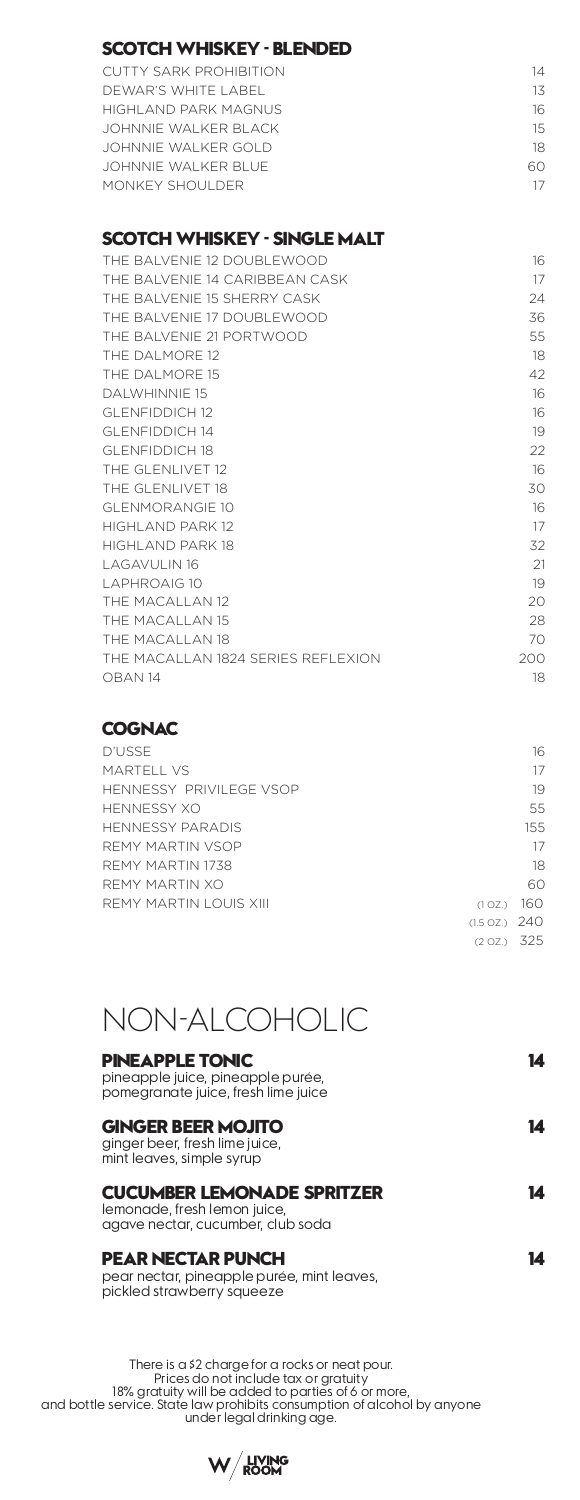|  | SCOTCH WHISKEY - BLENDED |  |
|--|--------------------------|--|
|--|--------------------------|--|

| CUTTY SARK PROHIBITION | 14 |
|------------------------|----|
| DEWAR'S WHITE LABEL    | 13 |
| HIGHI AND PARK MAGNUS  | 16 |
| JOHNNIF WAI KER BI ACK | 15 |
| JOHNNIF WAI KER GOI D  | 18 |
| JOHNNIF WAI KER BLUE.  | ഹ  |
| MONKEY SHOULDER        |    |
|                        |    |

#### **SCOTCH WHISKEY - SINGLE MALT**

| THE BAI VENIF 12 DOUBLEWOOD         | 16  |
|-------------------------------------|-----|
| THE BAI VENIF 14 CARIBBEAN CASK     | 17  |
| THE BAI VENIF 15 SHERRY CASK        | 24  |
| THE BALVENIE 17 DOUBLEWOOD          | 36  |
| THE BAI VENIE 21 PORTWOOD           | 55  |
| THE DAI MORE 12                     | 18  |
| THE DAI MORE 15                     | 42  |
| <b>DAI WHINNIF 15</b>               | 16  |
| <b>GLENEIDDICH 12</b>               | 16  |
| <b>GLENEIDDICH 14</b>               | 19  |
| <b>GLENEIDDICH 18</b>               | 22  |
| THE GLENLIVET 12                    | 16  |
| THE GLENLIVET 18                    | 30  |
| GI FNMORANGIF 10                    | 16  |
| HIGHI AND PARK 12                   | 17  |
| HIGHI AND PARK 18                   | 32  |
| <b>LAGAVULIN 16</b>                 | 21  |
| <b>LAPHROAIG 10</b>                 | 19  |
| THE MACALLAN 12                     | 20  |
| THE MACALLAN 15                     | 28  |
| THE MACALLAN 18                     | 70  |
| THE MACALLAN 1824 SERIES REEL EXION | 200 |
| OBAN 14                             | 18  |
|                                     |     |

#### **COGNAC**

| <b>D'USSE</b>                     | 16  |
|-----------------------------------|-----|
| MARTELL VS                        | 17  |
| HENNESSY PRIVII FGE VSOP          | 19  |
| HENNESSY XO                       | 55  |
| HENNESSY PARADIS                  | 155 |
| REMY MARTIN VSOP                  | 17  |
| REMY MARTIN 1738                  | 18  |
| REMY MARTIN XO                    | 60  |
| REMY MARTIN LOUIS XIII<br>(1 OZ.) | 160 |
| $(1.5 \text{ oz.})$ 240           |     |
| (2 OZ.) 325                       |     |



| <b>PINEAPPLE TONIC</b><br>pineapple juice, pineapple purée,<br>pomegranate juice, fresh lime juice     |  |
|--------------------------------------------------------------------------------------------------------|--|
| <b>GINGER BEER MOJITO</b><br>ginger beer, fresh lime juice,<br>mint leaves, simple syrup               |  |
| <b>CUCUMBER LEMONADE SPRITZER</b><br>lemonade, fresh lemon juice,<br>agave nectar, cucumber, club soda |  |
| PEAR NECTAR PUNCH<br>pear nectar, pineapple purée, mint leaves,<br>pickled strawberry squeeze          |  |

There is a \$2 charge for a rocks or neat pour.<br>Prices do not include tax or gratuity<br>18% gratuity will be added to parties of 6 or more,<br>and bottle service. State law prohibits consumption of alcohol by anyone<br>under leaal

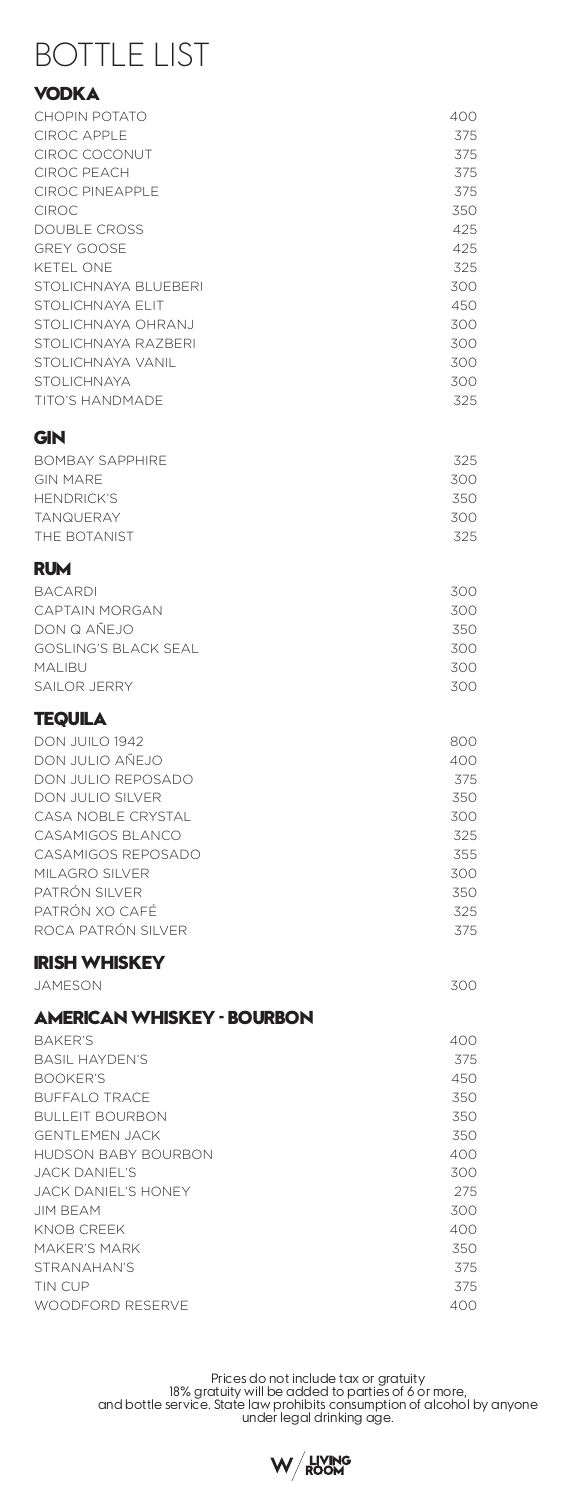# BOTTLE LIST

## **VODKA**

| <b>CHOPIN POTATO</b>        | 400        |
|-----------------------------|------------|
| <b>CIROC APPLE</b>          | 375        |
| CIROC COCONUT               | 375        |
| <b>CIROC PEACH</b>          | 375        |
| <b>CIROC PINEAPPLE</b>      | 375        |
| <b>CIROC</b>                | 350        |
| <b>DOUBLE CROSS</b>         | 425        |
| <b>GREY GOOSE</b>           | 425        |
| KETEL ONE                   | 325        |
| STOLICHNAYA BLUEBERI        | 300        |
| STOLICHNAYA ELIT            | 450        |
| STOLICHNAYA OHRANJ          | 300        |
| STOLICHNAYA RAZBERI         | 300        |
| STOLICHNAYA VANIL           | 300        |
| STOLICHNAYA                 | 300        |
| <b>TITO'S HANDMADE</b>      | 325        |
| GIN                         |            |
| <b>BOMBAY SAPPHIRE</b>      | 325        |
| <b>GIN MARE</b>             | 300        |
| <b>HENDRICK'S</b>           | 350        |
| <b>TANQUERAY</b>            | 300        |
| THE BOTANIST                | 325        |
|                             |            |
| RUM                         |            |
| <b>BACARDI</b>              | 300        |
| CAPTAIN MORGAN              | 300        |
| DON Q AÑEJO                 | 350        |
| <b>GOSLING'S BLACK SEAL</b> | 300        |
| MALIBU                      | 300        |
| SAILOR JERRY                | 300        |
| TEQUILA                     |            |
| DON JUILO 1942              | 800        |
| DON JULIO AÑEJO             | 400        |
| DON JULIO REPOSADO          | 375        |
| DON JULIO SILVER            | 350        |
| CASA NOBLE CRYSTAL          | 300        |
| CASAMIGOS BLANCO            | 325        |
| CASAMIGOS REPOSADO          | 355        |
| MILAGRO SILVER              | 300        |
| PATRÓN SILVER               | 350        |
| PATRÓN XO CAFÉ              | 325        |
| ROCA PATRÓN SILVER          | 375        |
| <b>IRISH WHISKEY</b>        |            |
| <b>JAMESON</b>              | 300        |
| AMERICAN WHISKEY - BOURBON  |            |
| <b>BAKER'S</b>              |            |
| <b>BASIL HAYDEN'S</b>       | 400<br>375 |
| <b>BOOKER'S</b>             | 450        |
| <b>BUFFALO TRACE</b>        | 350        |
| <b>BULLEIT BOURBON</b>      | 350        |
| <b>GENTLEMEN JACK</b>       | 350        |
| <b>HUDSON BABY BOURBON</b>  | 400        |
| JACK DANIEL'S               | 300        |
| JACK DANIEL'S HONEY         | 275        |
| JIM BEAM                    | 300        |
| KNOB CREEK                  | 400        |
| MAKER'S MARK                | 350        |
| STRANAHAN'S                 | 375        |
| TIN CUP                     | 375        |
| WOODFORD RESERVE            | 400        |
|                             |            |

Prices do not include tax or gratuity<br>18% gratuity will be added to parties of 6 or more,<br>18% and bottle service. State law prohibits consumption of alcohol by anyone<br>under legal drinking age.